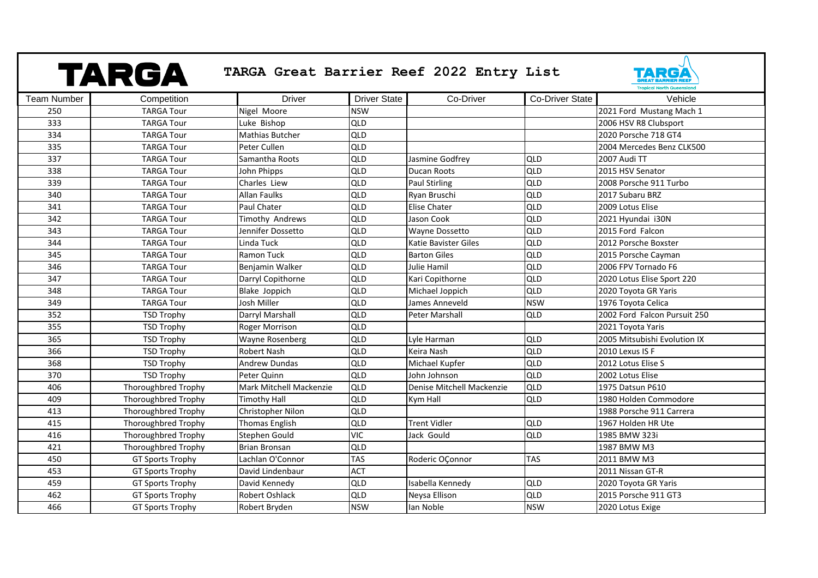|                    | TARGA                      | TARGA Great Barrier Reef 2022 Entry List |                     |                             |                 | EGI<br><b>Tropical North Queenslar</b> |
|--------------------|----------------------------|------------------------------------------|---------------------|-----------------------------|-----------------|----------------------------------------|
| <b>Team Number</b> | Competition                | <b>Driver</b>                            | <b>Driver State</b> | Co-Driver                   | Co-Driver State | Vehicle                                |
| 250                | <b>TARGA Tour</b>          | Nigel Moore                              | <b>NSW</b>          |                             |                 | 2021 Ford Mustang Mach 1               |
| 333                | <b>TARGA Tour</b>          | Luke Bishop                              | QLD                 |                             |                 | 2006 HSV R8 Clubsport                  |
| 334                | <b>TARGA Tour</b>          | <b>Mathias Butcher</b>                   | QLD                 |                             |                 | 2020 Porsche 718 GT4                   |
| 335                | <b>TARGA Tour</b>          | Peter Cullen                             | QLD                 |                             |                 | 2004 Mercedes Benz CLK500              |
| 337                | <b>TARGA Tour</b>          | Samantha Roots                           | QLD                 | Jasmine Godfrey             | <b>QLD</b>      | 2007 Audi TT                           |
| 338                | <b>TARGA Tour</b>          | John Phipps                              | QLD                 | Ducan Roots                 | QLD             | 2015 HSV Senator                       |
| 339                | <b>TARGA Tour</b>          | Charles Liew                             | QLD                 | <b>Paul Stirling</b>        | QLD             | 2008 Porsche 911 Turbo                 |
| 340                | <b>TARGA Tour</b>          | <b>Allan Faulks</b>                      | QLD                 | Ryan Bruschi                | QLD             | 2017 Subaru BRZ                        |
| 341                | <b>TARGA Tour</b>          | Paul Chater                              | QLD                 | <b>Elise Chater</b>         | QLD             | 2009 Lotus Elise                       |
| 342                | <b>TARGA Tour</b>          | Timothy Andrews                          | QLD                 | Jason Cook                  | QLD             | 2021 Hyundai i30N                      |
| 343                | <b>TARGA Tour</b>          | Jennifer Dossetto                        | QLD                 | Wayne Dossetto              | <b>QLD</b>      | 2015 Ford Falcon                       |
| 344                | <b>TARGA Tour</b>          | Linda Tuck                               | QLD                 | <b>Katie Bavister Giles</b> | <b>QLD</b>      | 2012 Porsche Boxster                   |
| 345                | <b>TARGA Tour</b>          | <b>Ramon Tuck</b>                        | <b>QLD</b>          | <b>Barton Giles</b>         | QLD             | 2015 Porsche Cayman                    |
| 346                | <b>TARGA Tour</b>          | Benjamin Walker                          | QLD                 | Julie Hamil                 | QLD             | 2006 FPV Tornado F6                    |
| 347                | <b>TARGA Tour</b>          | Darryl Copithorne                        | QLD                 | Kari Copithorne             | QLD             | 2020 Lotus Elise Sport 220             |
| 348                | <b>TARGA Tour</b>          | Blake Joppich                            | <b>QLD</b>          | Michael Joppich             | <b>QLD</b>      | 2020 Toyota GR Yaris                   |
| 349                | <b>TARGA Tour</b>          | Josh Miller                              | QLD                 | James Anneveld              | <b>NSW</b>      | 1976 Toyota Celica                     |
| 352                | <b>TSD Trophy</b>          | Darryl Marshall                          | QLD                 | Peter Marshall              | QLD             | 2002 Ford Falcon Pursuit 250           |
| 355                | <b>TSD Trophy</b>          | <b>Roger Morrison</b>                    | <b>QLD</b>          |                             |                 | 2021 Toyota Yaris                      |
| 365                | <b>TSD Trophy</b>          | Wayne Rosenberg                          | QLD                 | Lyle Harman                 | <b>QLD</b>      | 2005 Mitsubishi Evolution IX           |
| 366                | <b>TSD Trophy</b>          | <b>Robert Nash</b>                       | <b>QLD</b>          | Keira Nash                  | QLD             | 2010 Lexus IS F                        |
| 368                | <b>TSD Trophy</b>          | Andrew Dundas                            | <b>QLD</b>          | Michael Kupfer              | QLD             | 2012 Lotus Elise S                     |
| 370                | <b>TSD Trophy</b>          | Peter Quinn                              | <b>QLD</b>          | John Johnson                | QLD             | 2002 Lotus Elise                       |
| 406                | Thoroughbred Trophy        | <b>Mark Mitchell Mackenzie</b>           | QLD                 | Denise Mitchell Mackenzie   | QLD             | 1975 Datsun P610                       |
| 409                | Thoroughbred Trophy        | <b>Timothy Hall</b>                      | <b>QLD</b>          | Kym Hall                    | <b>QLD</b>      | 1980 Holden Commodore                  |
| 413                | <b>Thoroughbred Trophy</b> | Christopher Nilon                        | QLD                 |                             |                 | 1988 Porsche 911 Carrera               |
| 415                | Thoroughbred Trophy        | Thomas English                           | QLD                 | <b>Trent Vidler</b>         | QLD             | 1967 Holden HR Ute                     |
| 416                | Thoroughbred Trophy        | Stephen Gould                            | <b>VIC</b>          | Jack Gould                  | QLD             | 1985 BMW 323i                          |
| 421                | Thoroughbred Trophy        | <b>Brian Bronsan</b>                     | QLD                 |                             |                 | 1987 BMW M3                            |
| 450                | <b>GT Sports Trophy</b>    | Lachlan O'Connor                         | <b>TAS</b>          | Roderic OÇonnor             | <b>TAS</b>      | 2011 BMW M3                            |
| 453                | <b>GT Sports Trophy</b>    | David Lindenbaur                         | <b>ACT</b>          |                             |                 | 2011 Nissan GT-R                       |
| 459                | <b>GT Sports Trophy</b>    | David Kennedy                            | <b>QLD</b>          | Isabella Kennedy            | QLD             | 2020 Toyota GR Yaris                   |
| 462                | GT Sports Trophy           | <b>Robert Oshlack</b>                    | QLD                 | Neysa Ellison               | QLD             | 2015 Porsche 911 GT3                   |
| 466                | <b>GT Sports Trophy</b>    | Robert Bryden                            | <b>NSW</b>          | lan Noble                   | <b>NSW</b>      | 2020 Lotus Exige                       |